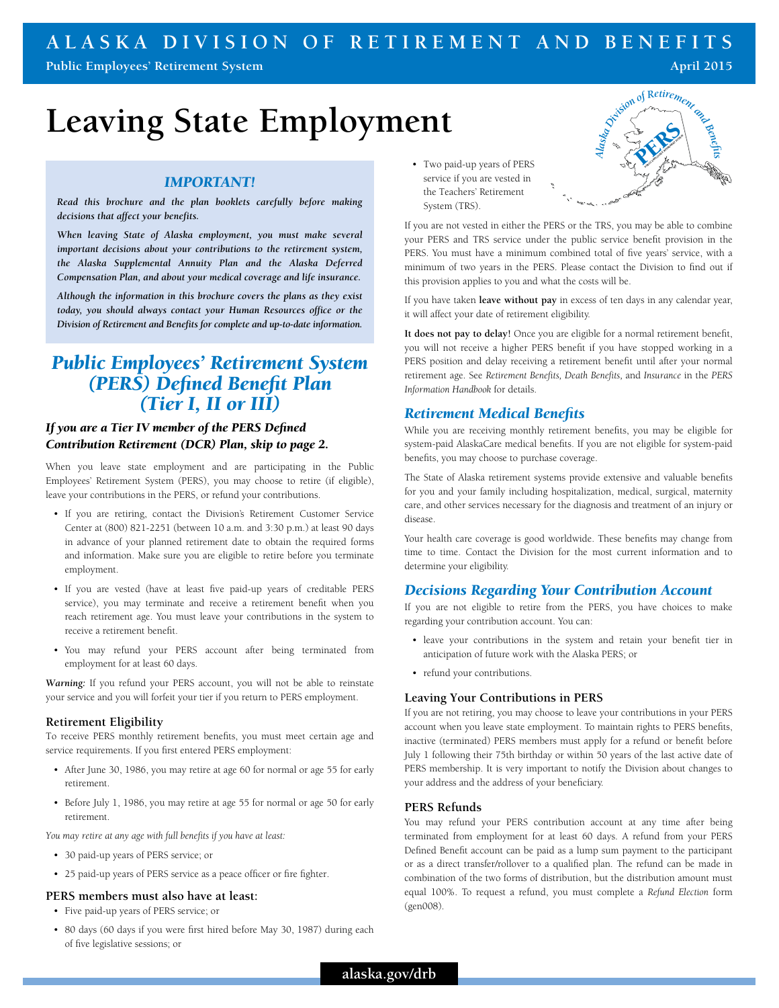# **ALASKA DIVISION OF RETIREMENT AND BENEFITS**

**Public Employees' Retirement System April 2015** 

# **Leaving State Employment**

# *IMPORTANT!*

*Read this brochure and the plan booklets carefully before making decisions that affect your benefits.* 

*When leaving State of Alaska employment, you must make several important decisions about your contributions to the retirement system, the Alaska Supplemental Annuity Plan and the Alaska Deferred Compensation Plan, and about your medical coverage and life insurance.* 

*Although the information in this brochure covers the plans as they exist today, you should always contact your Human Resources office or the Division of Retirement and Benefits for complete and up-to-date information.*

# *Public Employees' Retirement System (PERS) Defined Benefit Plan (Tier I, II or III)*

# *If you are a Tier IV member of the PERS Defined Contribution Retirement (DCR) Plan, skip to page 2.*

When you leave state employment and are participating in the Public Employees' Retirement System (PERS), you may choose to retire (if eligible), leave your contributions in the PERS, or refund your contributions.

- If you are retiring, contact the Division's Retirement Customer Service Center at (800) 821-2251 (between 10 a.m. and 3:30 p.m.) at least 90 days in advance of your planned retirement date to obtain the required forms and information. Make sure you are eligible to retire before you terminate employment.
- If you are vested (have at least five paid-up years of creditable PERS service), you may terminate and receive a retirement benefit when you reach retirement age. You must leave your contributions in the system to receive a retirement benefit.
- You may refund your PERS account after being terminated from employment for at least 60 days.

*Warning:* If you refund your PERS account, you will not be able to reinstate your service and you will forfeit your tier if you return to PERS employment.

# **Retirement Eligibility**

To receive PERS monthly retirement benefits, you must meet certain age and service requirements. If you first entered PERS employment:

- After June 30, 1986, you may retire at age 60 for normal or age 55 for early retirement.
- Before July 1, 1986, you may retire at age 55 for normal or age 50 for early retirement.

*You may retire at any age with full benefits if you have at least:* 

- 30 paid-up years of PERS service; or
- 25 paid-up years of PERS service as a peace officer or fire fighter.

#### **PERS members must also have at least:**

- Five paid-up years of PERS service; or
- 80 days (60 days if you were first hired before May 30, 1987) during each of five legislative sessions; or

• Two paid-up years of PERS service if you are vested in the Teachers' Retirement System (TRS).



If you are not vested in either the PERS or the TRS, you may be able to combine your PERS and TRS service under the public service benefit provision in the PERS. You must have a minimum combined total of five years' service, with a minimum of two years in the PERS. Please contact the Division to find out if this provision applies to you and what the costs will be.

If you have taken **leave without pay** in excess of ten days in any calendar year, it will affect your date of retirement eligibility.

**It does not pay to delay!** Once you are eligible for a normal retirement benefit, you will not receive a higher PERS benefit if you have stopped working in a PERS position and delay receiving a retirement benefit until after your normal retirement age. See *Retirement Benefits, Death Benefits,* and *Insurance* in the *PERS Information Handbook* for details.

# *Retirement Medical Benefits*

While you are receiving monthly retirement benefits, you may be eligible for system-paid AlaskaCare medical benefits. If you are not eligible for system-paid benefits, you may choose to purchase coverage.

The State of Alaska retirement systems provide extensive and valuable benefits for you and your family including hospitalization, medical, surgical, maternity care, and other services necessary for the diagnosis and treatment of an injury or disease.

Your health care coverage is good worldwide. These benefits may change from time to time. Contact the Division for the most current information and to determine your eligibility.

# *Decisions Regarding Your Contribution Account*

If you are not eligible to retire from the PERS, you have choices to make regarding your contribution account. You can:

- leave your contributions in the system and retain your benefit tier in anticipation of future work with the Alaska PERS; or
- refund your contributions.

#### **Leaving Your Contributions in PERS**

If you are not retiring, you may choose to leave your contributions in your PERS account when you leave state employment. To maintain rights to PERS benefits, inactive (terminated) PERS members must apply for a refund or benefit before July 1 following their 75th birthday or within 50 years of the last active date of PERS membership. It is very important to notify the Division about changes to your address and the address of your beneficiary.

#### **PERS Refunds**

You may refund your PERS contribution account at any time after being terminated from employment for at least 60 days. A refund from your PERS Defined Benefit account can be paid as a lump sum payment to the participant or as a direct transfer/rollover to a qualified plan. The refund can be made in combination of the two forms of distribution, but the distribution amount must equal 100%. To request a refund, you must complete a *Refund Election* form (gen008).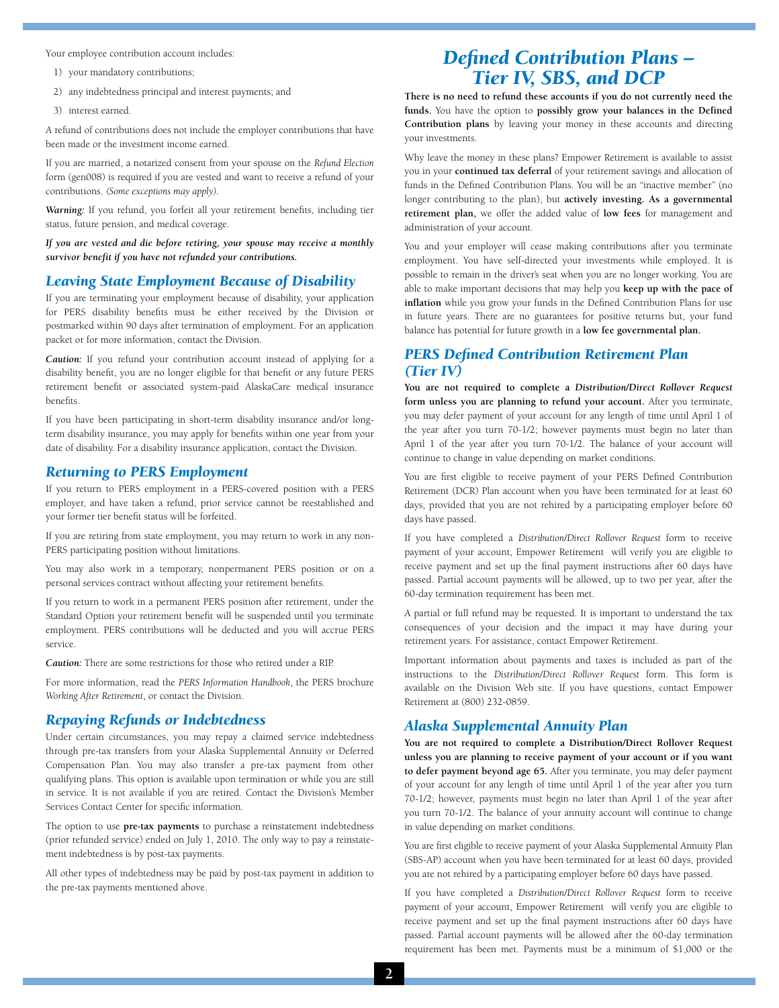Your employee contribution account includes:

- 1) your mandatory contributions;
- 2) any indebtedness principal and interest payments; and
- 3) interest earned.

A refund of contributions does not include the employer contributions that have been made or the investment income earned.

If you are married, a notarized consent from your spouse on the *Refund Election* form (gen008) is required if you are vested and want to receive a refund of your contributions. *(Some exceptions may apply).*

*Warning:* If you refund, you forfeit all your retirement benefits, including tier status, future pension, and medical coverage.

*If you are vested and die before retiring, your spouse may receive a monthly survivor benefit if you have not refunded your contributions.* 

#### *Leaving State Employment Because of Disability*

If you are terminating your employment because of disability, your application for PERS disability benefits must be either received by the Division or postmarked within 90 days after termination of employment. For an application packet or for more information, contact the Division.

*Caution:* If you refund your contribution account instead of applying for a disability benefit, you are no longer eligible for that benefit or any future PERS retirement benefit or associated system-paid AlaskaCare medical insurance benefits.

If you have been participating in short-term disability insurance and/or longterm disability insurance, you may apply for benefits within one year from your date of disability. For a disability insurance application, contact the Division.

#### *Returning to PERS Employment*

If you return to PERS employment in a PERS-covered position with a PERS employer, and have taken a refund, prior service cannot be reestablished and your former tier benefit status will be forfeited.

If you are retiring from state employment, you may return to work in any non-PERS participating position without limitations.

You may also work in a temporary, nonpermanent PERS position or on a personal services contract without affecting your retirement benefits.

If you return to work in a permanent PERS position after retirement, under the Standard Option your retirement benefit will be suspended until you terminate employment. PERS contributions will be deducted and you will accrue PERS service.

*Caution:* There are some restrictions for those who retired under a RIP.

For more information, read the *PERS Information Handbook*, the PERS brochure *Working After Retirement*, or contact the Division.

## *Repaying Refunds or Indebtedness*

Under certain circumstances, you may repay a claimed service indebtedness through pre-tax transfers from your Alaska Supplemental Annuity or Deferred Compensation Plan. You may also transfer a pre-tax payment from other qualifying plans. This option is available upon termination or while you are still in service. It is not available if you are retired. Contact the Division's Member Services Contact Center for specific information.

The option to use **pre-tax payments** to purchase a reinstatement indebtedness (prior refunded service) ended on July 1, 2010. The only way to pay a reinstatement indebtedness is by post-tax payments.

All other types of indebtedness may be paid by post-tax payment in addition to the pre-tax payments mentioned above.

# *Defined Contribution Plans – Tier IV, SBS, and DCP*

**There is no need to refund these accounts if you do not currently need the funds.** You have the option to **possibly grow your balances in the Defined Contribution plans** by leaving your money in these accounts and directing your investments.

Why leave the money in these plans? Empower Retirement is available to assist you in your **continued tax deferral** of your retirement savings and allocation of funds in the Defined Contribution Plans. You will be an "inactive member" (no longer contributing to the plan), but **actively investing. As a governmental retirement plan,** we offer the added value of **low fees** for management and administration of your account.

You and your employer will cease making contributions after you terminate employment. You have self-directed your investments while employed. It is possible to remain in the driver's seat when you are no longer working. You are able to make important decisions that may help you **keep up with the pace of inflation** while you grow your funds in the Defined Contribution Plans for use in future years. There are no guarantees for positive returns but, your fund balance has potential for future growth in a **low fee governmental plan.**

# *PERS Defined Contribution Retirement Plan (Tier IV)*

**You are not required to complete a** *Distribution/Direct Rollover Request* **form unless you are planning to refund your account.** After you terminate, you may defer payment of your account for any length of time until April 1 of the year after you turn 70-1/2; however payments must begin no later than April 1 of the year after you turn 70-1/2. The balance of your account will continue to change in value depending on market conditions.

You are first eligible to receive payment of your PERS Defined Contribution Retirement (DCR) Plan account when you have been terminated for at least 60 days, provided that you are not rehired by a participating employer before 60 days have passed.

If you have completed a *Distribution/Direct Rollover Request* form to receive payment of your account, Empower Retirement will verify you are eligible to receive payment and set up the final payment instructions after 60 days have passed. Partial account payments will be allowed, up to two per year, after the 60-day termination requirement has been met.

A partial or full refund may be requested. It is important to understand the tax consequences of your decision and the impact it may have during your retirement years. For assistance, contact Empower Retirement.

Important information about payments and taxes is included as part of the instructions to the *Distribution/Direct Rollover Request* form. This form is available on the Division Web site. If you have questions, contact Empower Retirement at (800) 232-0859.

# *Alaska Supplemental Annuity Plan*

**You are not required to complete a Distribution/Direct Rollover Request unless you are planning to receive payment of your account or if you want to defer payment beyond age 65.** After you terminate, you may defer payment of your account for any length of time until April 1 of the year after you turn 70-1/2; however, payments must begin no later than April 1 of the year after you turn 70-1/2. The balance of your annuity account will continue to change in value depending on market conditions.

You are first eligible to receive payment of your Alaska Supplemental Annuity Plan (SBS-AP) account when you have been terminated for at least 60 days, provided you are not rehired by a participating employer before 60 days have passed.

If you have completed a *Distribution/Direct Rollover Request* form to receive payment of your account, Empower Retirement will verify you are eligible to receive payment and set up the final payment instructions after 60 days have passed. Partial account payments will be allowed after the 60-day termination requirement has been met. Payments must be a minimum of \$1,000 or the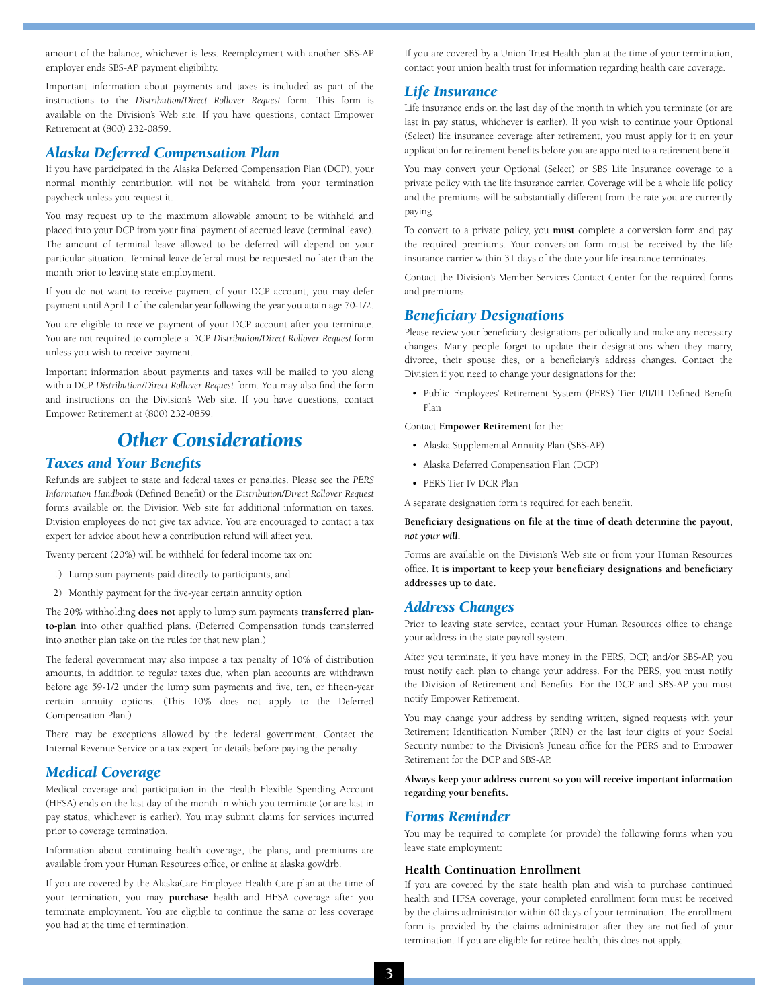amount of the balance, whichever is less. Reemployment with another SBS-AP employer ends SBS-AP payment eligibility.

Important information about payments and taxes is included as part of the instructions to the *Distribution/Direct Rollover Request* form. This form is available on the Division's Web site. If you have questions, contact Empower Retirement at (800) 232-0859.

## *Alaska Deferred Compensation Plan*

If you have participated in the Alaska Deferred Compensation Plan (DCP), your normal monthly contribution will not be withheld from your termination paycheck unless you request it.

You may request up to the maximum allowable amount to be withheld and placed into your DCP from your final payment of accrued leave (terminal leave). The amount of terminal leave allowed to be deferred will depend on your particular situation. Terminal leave deferral must be requested no later than the month prior to leaving state employment.

If you do not want to receive payment of your DCP account, you may defer payment until April 1 of the calendar year following the year you attain age 70-1/2.

You are eligible to receive payment of your DCP account after you terminate. You are not required to complete a DCP *Distribution/Direct Rollover Request* form unless you wish to receive payment.

Important information about payments and taxes will be mailed to you along with a DCP *Distribution/Direct Rollover Request* form. You may also find the form and instructions on the Division's Web site. If you have questions, contact Empower Retirement at (800) 232-0859.

# *Other Considerations*

# *Taxes and Your Benefits*

Refunds are subject to state and federal taxes or penalties. Please see the *PERS Information Handbook* (Defined Benefit) or the *Distribution/Direct Rollover Request* forms available on the Division Web site for additional information on taxes. Division employees do not give tax advice. You are encouraged to contact a tax expert for advice about how a contribution refund will affect you.

Twenty percent (20%) will be withheld for federal income tax on:

- 1) Lump sum payments paid directly to participants, and
- 2) Monthly payment for the five-year certain annuity option

The 20% withholding **does not** apply to lump sum payments **transferred planto-plan** into other qualified plans. (Deferred Compensation funds transferred into another plan take on the rules for that new plan.)

The federal government may also impose a tax penalty of 10% of distribution amounts, in addition to regular taxes due, when plan accounts are withdrawn before age 59-1/2 under the lump sum payments and five, ten, or fifteen-year certain annuity options. (This 10% does not apply to the Deferred Compensation Plan.)

There may be exceptions allowed by the federal government. Contact the Internal Revenue Service or a tax expert for details before paying the penalty.

#### *Medical Coverage*

Medical coverage and participation in the Health Flexible Spending Account (HFSA) ends on the last day of the month in which you terminate (or are last in pay status, whichever is earlier). You may submit claims for services incurred prior to coverage termination.

Information about continuing health coverage, the plans, and premiums are available from your Human Resources office, or online at alaska.gov/drb.

If you are covered by the AlaskaCare Employee Health Care plan at the time of your termination, you may **purchase** health and HFSA coverage after you terminate employment. You are eligible to continue the same or less coverage you had at the time of termination.

If you are covered by a Union Trust Health plan at the time of your termination, contact your union health trust for information regarding health care coverage.

## *Life Insurance*

Life insurance ends on the last day of the month in which you terminate (or are last in pay status, whichever is earlier). If you wish to continue your Optional (Select) life insurance coverage after retirement, you must apply for it on your application for retirement benefits before you are appointed to a retirement benefit.

You may convert your Optional (Select) or SBS Life Insurance coverage to a private policy with the life insurance carrier. Coverage will be a whole life policy and the premiums will be substantially different from the rate you are currently paying.

To convert to a private policy, you **must** complete a conversion form and pay the required premiums. Your conversion form must be received by the life insurance carrier within 31 days of the date your life insurance terminates.

Contact the Division's Member Services Contact Center for the required forms and premiums.

# *Beneficiary Designations*

Please review your beneficiary designations periodically and make any necessary changes. Many people forget to update their designations when they marry, divorce, their spouse dies, or a beneficiary's address changes. Contact the Division if you need to change your designations for the:

• Public Employees' Retirement System (PERS) Tier I/II/III Defined Benefit Plan

Contact **Empower Retirement** for the:

- Alaska Supplemental Annuity Plan (SBS-AP)
- Alaska Deferred Compensation Plan (DCP)
- PERS Tier IV DCR Plan

A separate designation form is required for each benefit.

**Beneficiary designations on file at the time of death determine the payout,**  *not your will***.** 

Forms are available on the Division's Web site or from your Human Resources office. **It is important to keep your beneficiary designations and beneficiary addresses up to date.**

## *Address Changes*

Prior to leaving state service, contact your Human Resources office to change your address in the state payroll system.

After you terminate, if you have money in the PERS, DCP, and/or SBS-AP, you must notify each plan to change your address. For the PERS, you must notify the Division of Retirement and Benefits. For the DCP and SBS-AP you must notify Empower Retirement.

You may change your address by sending written, signed requests with your Retirement Identification Number (RIN) or the last four digits of your Social Security number to the Division's Juneau office for the PERS and to Empower Retirement for the DCP and SBS-AP.

#### **Always keep your address current so you will receive important information regarding your benefits.**

#### *Forms Reminder*

You may be required to complete (or provide) the following forms when you leave state employment:

## **Health Continuation Enrollment**

If you are covered by the state health plan and wish to purchase continued health and HFSA coverage, your completed enrollment form must be received by the claims administrator within 60 days of your termination. The enrollment form is provided by the claims administrator after they are notified of your termination. If you are eligible for retiree health, this does not apply.